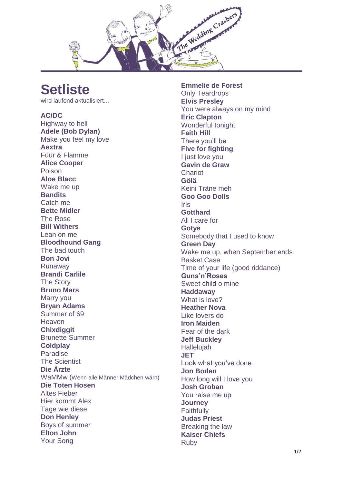

## **Setliste**

wird laufend aktualisiert…

## **AC/DC**

Highway to hell **Adele (Bob Dylan)** Make you feel my love **Aextra** Füür & Flamme **Alice Cooper** Poison **Aloe Blacc** Wake me up **Bandits** Catch me **Bette Midler** The Rose **Bill Withers** Lean on me **Bloodhound Gang** The bad touch **Bon Jovi** Runaway **Brandi Carlile** The Story **Bruno Mars** Marry you **Bryan Adams** Summer of 69 **Heaven Chixdiggit** Brunette Summer **Coldplay** Paradise The Scientist **Die Ärzte** WaMMw (Wenn alle Männer Mädchen wärn) **Die Toten Hosen** Altes Fieber Hier kommt Alex Tage wie diese **Don Henley** Boys of summer **Elton John** Your Song

**Emmelie de Forest** Only Teardrops **Elvis Presley** You were always on my mind **Eric Clapton** Wonderful tonight **Faith Hill** There you'll be **Five for fighting** I just love you **Gavin de Graw** Chariot **Gölä** Keini Träne meh **Goo Goo Dolls** Iris **Gotthard** All I care for **Gotye** Somebody that I used to know **Green Day** Wake me up, when September ends Basket Case Time of your life (good riddance) **Guns'n'Roses** Sweet child o mine **Haddaway** What is love? **Heather Nova** Like lovers do **Iron Maiden** Fear of the dark **Jeff Buckley** Hallelujah **JET** Look what you've done **Jon Boden** How long will I love you **Josh Groban** You raise me up **Journey Faithfully Judas Priest** Breaking the law **Kaiser Chiefs** Ruby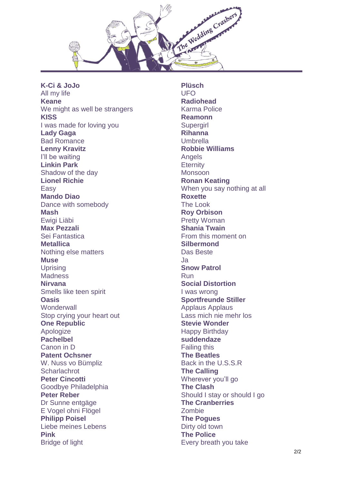

**K -Ci & JoJo** All my life **Keane** We might as well be strangers **KISS** I was made for loving you **Lady Gaga** Bad Romance **Lenny Kravitz** I'll be waiting **Linkin Park** Shadow of the day **Lionel Richie** Easy **Mando Diao** Dance with somebody **Mash** Ewigi Liäbi **Max Pezzali** Sei Fantastica **Metallica** Nothing else matters **Muse Uprising Madness Nirvana** Smells like teen spirit **Oasis Wonderwall** Stop crying your heart out **One Republic** Apologize **Pachelbel** Canon in D **Patent Ochsner** W. Nuss vo Bümpliz **Scharlachrot Peter Cincotti** Goodbye Philadelphia **Peter Reber** Dr Sunne entgäge E Vogel ohni Flögel **Philipp Poisel** Liebe meines Lebens **Pink** Bridge of light

**Plüsch** UFO **Radiohead** Karma Police **Reamonn Supergirl Rihanna** Umbrella **Robbie Williams** Angels **Eternity** Monsoon **Ronan Keating** When you say nothing at all **Roxette** The Look **Roy Orbison** Pretty Woman **Shania Twain** From this moment on **Silbermond** Das Beste Ja **Snow Patrol** Run **Social Distortion** I was wrong **Sportfreunde Stiller** Applaus Applaus Lass mich nie mehr los **Stevie Wonder** Happy Birthday **suddendaze** Failing this **The Beatles** Back in the U.S.S.R **The Calling** Wherever you'll go **The Clash** Should I stay or should I go **The Cranberries** Zombie **The Pogues** Dirty old town **The Police** Every breath you take